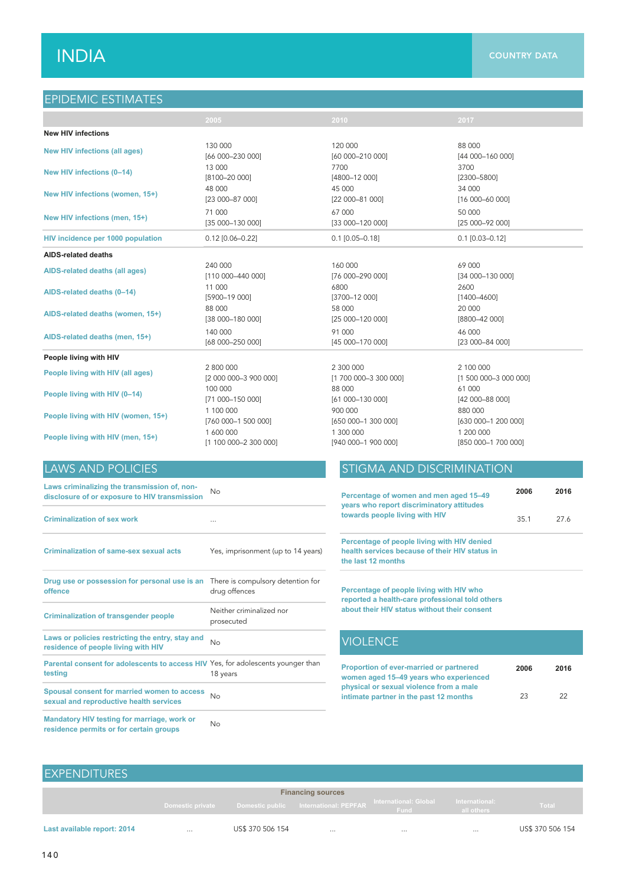# $\mathsf{INDIA}$  and the country data country data  $\mathsf{I}_\mathsf{A}$

## EPIDEMIC ESTIMATES

|                                      | 2005                      | 2010                  | 2017                  |
|--------------------------------------|---------------------------|-----------------------|-----------------------|
| <b>New HIV infections</b>            |                           |                       |                       |
| <b>New HIV infections (all ages)</b> | 130 000                   | 120 000               | 88 000                |
|                                      | [66 000-230 000]          | [60 000-210 000]      | [44 000-160 000]      |
| New HIV infections (0-14)            | 13 000                    | 7700                  | 3700                  |
|                                      | $[8100 - 20000]$          | [4800-12 000]         | $[2300 - 5800]$       |
| New HIV infections (women, 15+)      | 48 000                    | 45 000                | 34 000                |
|                                      | [23 000-87 000]           | [22 000-81 000]       | [16 000-60 000]       |
| New HIV infections (men, 15+)        | 71 000                    | 67 000                | 50 000                |
|                                      | [35 000-130 000]          | [33 000-120 000]      | [25 000-92 000]       |
| HIV incidence per 1000 population    | $0.12$ [0.06-0.22]        | $0.1$ [0.05-0.18]     | $0.1$ [0.03-0.12]     |
| <b>AIDS-related deaths</b>           |                           |                       |                       |
| AIDS-related deaths (all ages)       | 240 000                   | 160 000               | 69 000                |
|                                      | [110 000-440 000]         | [76 000-290 000]      | [34 000-130 000]      |
| AIDS-related deaths (0-14)           | 11 000                    | 6800                  | 2600                  |
|                                      | [5900-19 000]             | [3700-12 000]         | $[1400 - 4600]$       |
| AIDS-related deaths (women, 15+)     | 88 000                    | 58 000                | 20 000                |
|                                      | [38 000-180 000]          | [25 000-120 000]      | [8800-42 000]         |
| AIDS-related deaths (men, 15+)       | 140 000                   | 91 000                | 46 000                |
|                                      | [68 000-250 000]          | [45 000-170 000]      | [23 000-84 000]       |
| People living with HIV               |                           |                       |                       |
| People living with HIV (all ages)    | 2 800 000                 | 2 300 000             | 2 100 000             |
|                                      | [2 000 000-3 900 000]     | [1 700 000-3 300 000] | [1 500 000-3 000 000] |
| People living with HIV (0-14)        | 100 000                   | 88 000                | 61 000                |
|                                      | [71 000-150 000]          | $[61 000 - 130 000]$  | [42 000-88 000]       |
| People living with HIV (women, 15+)  | 1 100 000                 | 900 000               | 880 000               |
|                                      | [760 000-1 500 000]       | [650 000-1 300 000]   | [630 000-1 200 000]   |
| People living with HIV (men, 15+)    | 1 600 000                 | 1 300 000             | 1 200 000             |
|                                      | $[1 100 000 - 2 300 000]$ | [940 000-1 900 000]   | [850 000-1 700 000]   |

**Laws criminalizing the transmission of, nondisclosure of or exposure to HIV transmission** No **<sup>2006</sup> <sup>2016</sup>**

| <b>Criminalization of sex work</b>                                                          | $\cdots$                                           |                                                                                                                     | 35.1 | 27.6 |
|---------------------------------------------------------------------------------------------|----------------------------------------------------|---------------------------------------------------------------------------------------------------------------------|------|------|
| <b>Criminalization of same-sex sexual acts</b>                                              | Yes, imprisonment (up to 14 years)                 | Percentage of people living with HIV denied<br>health services because of their HIV status in<br>the last 12 months |      |      |
| Drug use or possession for personal use is an<br>offence                                    | There is compulsory detention for<br>drug offences | Percentage of people living with HIV who<br>reported a health-care professional told others                         |      |      |
| <b>Criminalization of transgender people</b>                                                | Neither criminalized nor<br>prosecuted             | about their HIV status without their consent                                                                        |      |      |
| Laws or policies restricting the entry, stay and<br>residence of people living with HIV     | No                                                 | <b>VIOLENCE</b>                                                                                                     |      |      |
| Parental consent for adolescents to access HIV Yes, for adolescents younger than<br>testing | 18 years                                           | Proportion of ever-married or partnered<br>women aged 15-49 years who experienced                                   | 2006 | 201  |
| Spousal consent for married women to access<br>sexual and reproductive health services      | <b>No</b>                                          | physical or sexual violence from a male<br>intimate partner in the past 12 months                                   | 23   | 22   |

**Mandatory HIV testing for marriage, work or Mandatory HIV testing for marriage, work or**<br>residence permits or for certain groups

## LAWS AND POLICIES **STIGMA AND DISCRIMINATION**

| <b>No</b>                                          | Percentage of women and men aged 15-49<br>years who report discriminatory attitudes                                 | 2006 | 2016 |
|----------------------------------------------------|---------------------------------------------------------------------------------------------------------------------|------|------|
| $\cdots$                                           | towards people living with HIV                                                                                      | 35.1 | 27.6 |
| Yes, imprisonment (up to 14 years)                 | Percentage of people living with HIV denied<br>health services because of their HIV status in<br>the last 12 months |      |      |
| There is compulsory detention for<br>drug offences | Percentage of people living with HIV who<br>reported a health-care professional told others                         |      |      |
| Neither criminalized nor<br>prosecuted             | about their HIV status without their consent                                                                        |      |      |
| <b>No</b>                                          | <b>VIOLENCE</b>                                                                                                     |      |      |
| Yes, for adolescents younger than<br>18 years      | Proportion of ever-married or partnered<br>woman agad 15–49 years who experienced                                   | 2006 | 2016 |

| The political of order than to a constitution | zuuu | 20 I V |
|-----------------------------------------------|------|--------|
| women aged 15-49 years who experienced        |      |        |
| physical or sexual violence from a male       |      |        |
| intimate partner in the past 12 months        | 23   | 22     |

| <b>EXPENDITURES</b>         |          |                  |                                                        |                               |                              |                  |
|-----------------------------|----------|------------------|--------------------------------------------------------|-------------------------------|------------------------------|------------------|
|                             |          |                  | <b>Financing sources</b>                               |                               |                              |                  |
|                             |          |                  | Domestic private Domestic public International: PEPFAR | International: Global<br>Fund | International:<br>all others | Total            |
| Last available report: 2014 | $\cdots$ | US\$ 370 506 154 | $\cdots$                                               | $\cdots$                      | $\cdots$                     | US\$ 370 506 154 |